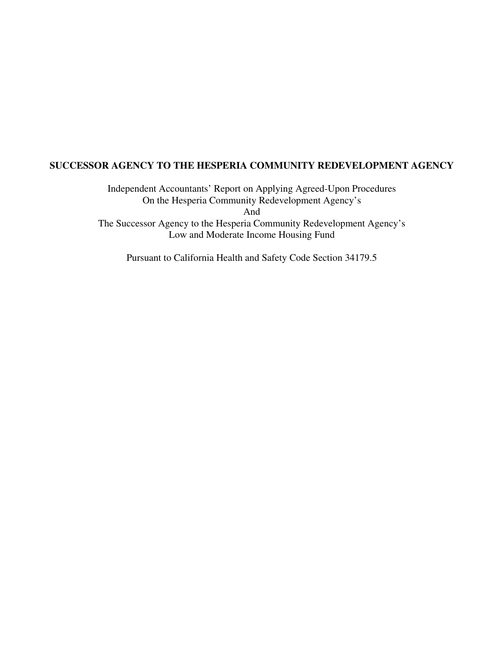Independent Accountants' Report on Applying Agreed-Upon Procedures On the Hesperia Community Redevelopment Agency's And The Successor Agency to the Hesperia Community Redevelopment Agency's Low and Moderate Income Housing Fund

Pursuant to California Health and Safety Code Section 34179.5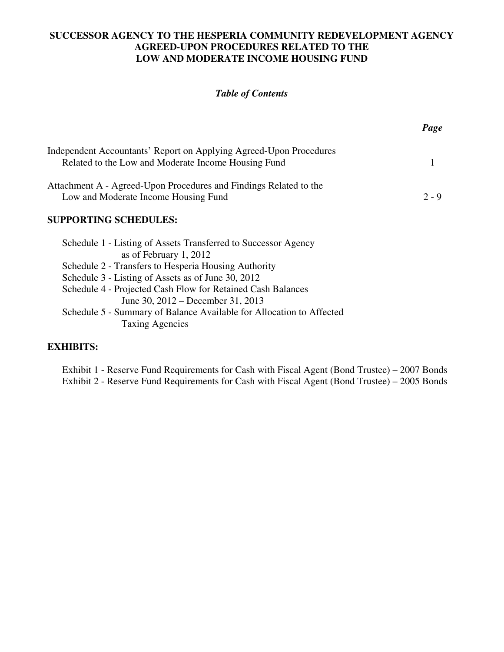# **SUCCESSOR AGENCY TO THE HESPERIA COMMUNITY REDEVELOPMENT AGENCY AGREED-UPON PROCEDURES RELATED TO THE LOW AND MODERATE INCOME HOUSING FUND**

# *Table of Contents*

|                                                                                                                           | Page    |
|---------------------------------------------------------------------------------------------------------------------------|---------|
| Independent Accountants' Report on Applying Agreed-Upon Procedures<br>Related to the Low and Moderate Income Housing Fund |         |
| Attachment A - Agreed-Upon Procedures and Findings Related to the<br>Low and Moderate Income Housing Fund                 | $2 - 9$ |
| <b>SUPPORTING SCHEDULES:</b>                                                                                              |         |
| Schedule 1 - Listing of Assets Transferred to Successor Agency<br>as of February 1, 2012                                  |         |
| Schedule 2 - Transfers to Hesperia Housing Authority<br>Schedule 3 - Listing of Assets as of June 30, 2012                |         |
| Schedule 4 - Projected Cash Flow for Retained Cash Balances<br>June 30, 2012 – December 31, 2013                          |         |
| Schedule 5 - Summary of Balance Available for Allocation to Affected<br><b>Taxing Agencies</b>                            |         |

# **EXHIBITS:**

Exhibit 1 - Reserve Fund Requirements for Cash with Fiscal Agent (Bond Trustee) – 2007 Bonds Exhibit 2 - Reserve Fund Requirements for Cash with Fiscal Agent (Bond Trustee) – 2005 Bonds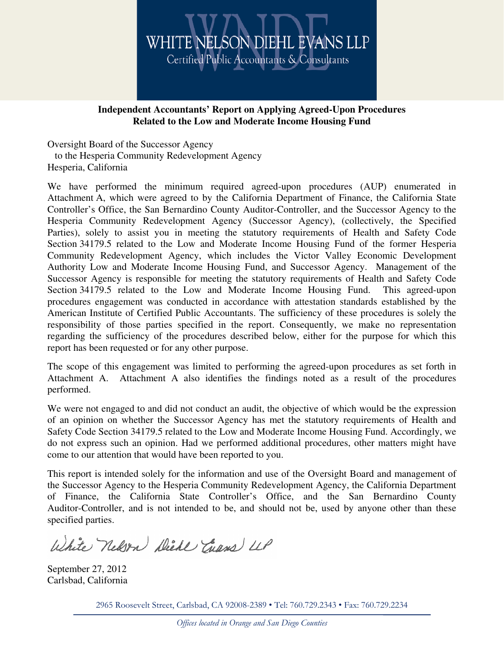

# **Independent Accountants' Report on Applying Agreed-Upon Procedures Related to the Low and Moderate Income Housing Fund**

Oversight Board of the Successor Agency to the Hesperia Community Redevelopment Agency Hesperia, California

We have performed the minimum required agreed-upon procedures (AUP) enumerated in Attachment A, which were agreed to by the California Department of Finance, the California State Controller's Office, the San Bernardino County Auditor-Controller, and the Successor Agency to the Hesperia Community Redevelopment Agency (Successor Agency), (collectively, the Specified Parties), solely to assist you in meeting the statutory requirements of Health and Safety Code Section 34179.5 related to the Low and Moderate Income Housing Fund of the former Hesperia Community Redevelopment Agency, which includes the Victor Valley Economic Development Authority Low and Moderate Income Housing Fund, and Successor Agency. Management of the Successor Agency is responsible for meeting the statutory requirements of Health and Safety Code Section 34179.5 related to the Low and Moderate Income Housing Fund. This agreed-upon procedures engagement was conducted in accordance with attestation standards established by the American Institute of Certified Public Accountants. The sufficiency of these procedures is solely the responsibility of those parties specified in the report. Consequently, we make no representation regarding the sufficiency of the procedures described below, either for the purpose for which this report has been requested or for any other purpose.

The scope of this engagement was limited to performing the agreed-upon procedures as set forth in Attachment A. Attachment A also identifies the findings noted as a result of the procedures performed.

We were not engaged to and did not conduct an audit, the objective of which would be the expression of an opinion on whether the Successor Agency has met the statutory requirements of Health and Safety Code Section 34179.5 related to the Low and Moderate Income Housing Fund. Accordingly, we do not express such an opinion. Had we performed additional procedures, other matters might have come to our attention that would have been reported to you.

This report is intended solely for the information and use of the Oversight Board and management of the Successor Agency to the Hesperia Community Redevelopment Agency, the California Department of Finance, the California State Controller's Office, and the San Bernardino County Auditor-Controller, and is not intended to be, and should not be, used by anyone other than these specified parties.

White nelson Diede Chans LLP

September 27, 2012 Carlsbad, California

2965 Roosevelt Street, Carlsbad, CA 92008-2389 • Tel: 760.729.2343 • Fax: 760.729.2234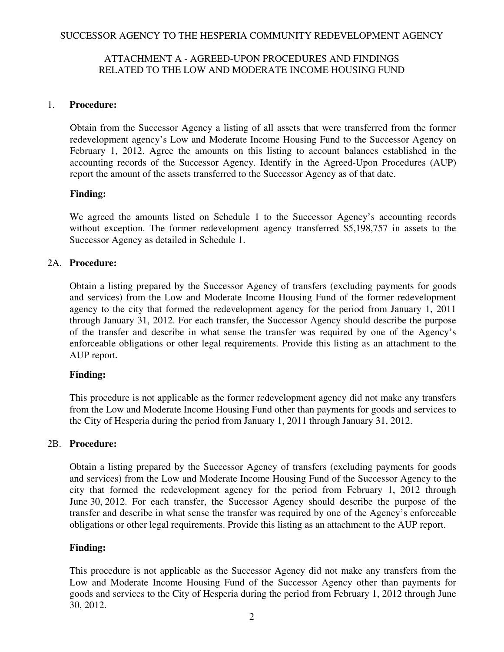# ATTACHMENT A - AGREED-UPON PROCEDURES AND FINDINGS RELATED TO THE LOW AND MODERATE INCOME HOUSING FUND

# 1. **Procedure:**

Obtain from the Successor Agency a listing of all assets that were transferred from the former redevelopment agency's Low and Moderate Income Housing Fund to the Successor Agency on February 1, 2012. Agree the amounts on this listing to account balances established in the accounting records of the Successor Agency. Identify in the Agreed-Upon Procedures (AUP) report the amount of the assets transferred to the Successor Agency as of that date.

# **Finding:**

We agreed the amounts listed on Schedule 1 to the Successor Agency's accounting records without exception. The former redevelopment agency transferred \$5,198,757 in assets to the Successor Agency as detailed in Schedule 1.

# 2A. **Procedure:**

Obtain a listing prepared by the Successor Agency of transfers (excluding payments for goods and services) from the Low and Moderate Income Housing Fund of the former redevelopment agency to the city that formed the redevelopment agency for the period from January 1, 2011 through January 31, 2012. For each transfer, the Successor Agency should describe the purpose of the transfer and describe in what sense the transfer was required by one of the Agency's enforceable obligations or other legal requirements. Provide this listing as an attachment to the AUP report.

## **Finding:**

This procedure is not applicable as the former redevelopment agency did not make any transfers from the Low and Moderate Income Housing Fund other than payments for goods and services to the City of Hesperia during the period from January 1, 2011 through January 31, 2012.

## 2B. **Procedure:**

Obtain a listing prepared by the Successor Agency of transfers (excluding payments for goods and services) from the Low and Moderate Income Housing Fund of the Successor Agency to the city that formed the redevelopment agency for the period from February 1, 2012 through June 30, 2012. For each transfer, the Successor Agency should describe the purpose of the transfer and describe in what sense the transfer was required by one of the Agency's enforceable obligations or other legal requirements. Provide this listing as an attachment to the AUP report.

## **Finding:**

This procedure is not applicable as the Successor Agency did not make any transfers from the Low and Moderate Income Housing Fund of the Successor Agency other than payments for goods and services to the City of Hesperia during the period from February 1, 2012 through June 30, 2012.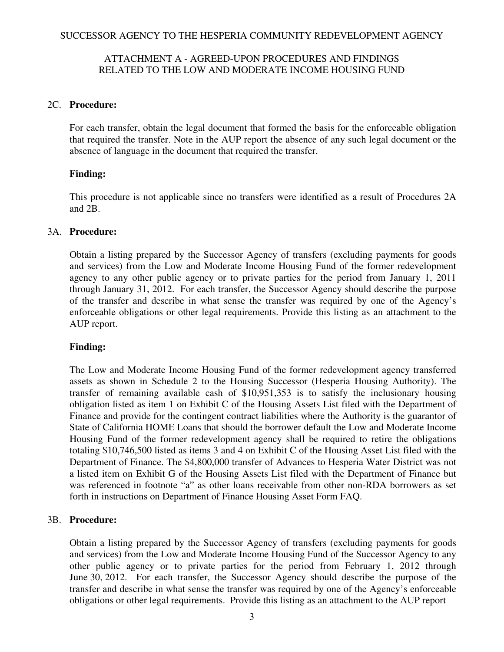# ATTACHMENT A - AGREED-UPON PROCEDURES AND FINDINGS RELATED TO THE LOW AND MODERATE INCOME HOUSING FUND

## 2C. **Procedure:**

For each transfer, obtain the legal document that formed the basis for the enforceable obligation that required the transfer. Note in the AUP report the absence of any such legal document or the absence of language in the document that required the transfer.

# **Finding:**

This procedure is not applicable since no transfers were identified as a result of Procedures 2A and 2B.

## 3A. **Procedure:**

Obtain a listing prepared by the Successor Agency of transfers (excluding payments for goods and services) from the Low and Moderate Income Housing Fund of the former redevelopment agency to any other public agency or to private parties for the period from January 1, 2011 through January 31, 2012. For each transfer, the Successor Agency should describe the purpose of the transfer and describe in what sense the transfer was required by one of the Agency's enforceable obligations or other legal requirements. Provide this listing as an attachment to the AUP report.

# **Finding:**

The Low and Moderate Income Housing Fund of the former redevelopment agency transferred assets as shown in Schedule 2 to the Housing Successor (Hesperia Housing Authority). The transfer of remaining available cash of \$10,951,353 is to satisfy the inclusionary housing obligation listed as item 1 on Exhibit C of the Housing Assets List filed with the Department of Finance and provide for the contingent contract liabilities where the Authority is the guarantor of State of California HOME Loans that should the borrower default the Low and Moderate Income Housing Fund of the former redevelopment agency shall be required to retire the obligations totaling \$10,746,500 listed as items 3 and 4 on Exhibit C of the Housing Asset List filed with the Department of Finance. The \$4,800,000 transfer of Advances to Hesperia Water District was not a listed item on Exhibit G of the Housing Assets List filed with the Department of Finance but was referenced in footnote "a" as other loans receivable from other non-RDA borrowers as set forth in instructions on Department of Finance Housing Asset Form FAQ.

## 3B. **Procedure:**

Obtain a listing prepared by the Successor Agency of transfers (excluding payments for goods and services) from the Low and Moderate Income Housing Fund of the Successor Agency to any other public agency or to private parties for the period from February 1, 2012 through June 30, 2012. For each transfer, the Successor Agency should describe the purpose of the transfer and describe in what sense the transfer was required by one of the Agency's enforceable obligations or other legal requirements. Provide this listing as an attachment to the AUP report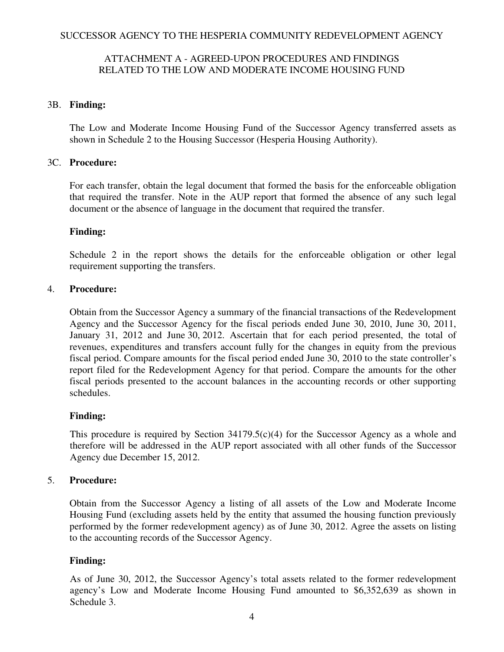# ATTACHMENT A - AGREED-UPON PROCEDURES AND FINDINGS RELATED TO THE LOW AND MODERATE INCOME HOUSING FUND

## 3B. **Finding:**

The Low and Moderate Income Housing Fund of the Successor Agency transferred assets as shown in Schedule 2 to the Housing Successor (Hesperia Housing Authority).

# 3C. **Procedure:**

For each transfer, obtain the legal document that formed the basis for the enforceable obligation that required the transfer. Note in the AUP report that formed the absence of any such legal document or the absence of language in the document that required the transfer.

## **Finding:**

Schedule 2 in the report shows the details for the enforceable obligation or other legal requirement supporting the transfers.

# 4. **Procedure:**

Obtain from the Successor Agency a summary of the financial transactions of the Redevelopment Agency and the Successor Agency for the fiscal periods ended June 30, 2010, June 30, 2011, January 31, 2012 and June 30, 2012. Ascertain that for each period presented, the total of revenues, expenditures and transfers account fully for the changes in equity from the previous fiscal period. Compare amounts for the fiscal period ended June 30, 2010 to the state controller's report filed for the Redevelopment Agency for that period. Compare the amounts for the other fiscal periods presented to the account balances in the accounting records or other supporting schedules.

# **Finding:**

This procedure is required by Section  $34179.5(c)(4)$  for the Successor Agency as a whole and therefore will be addressed in the AUP report associated with all other funds of the Successor Agency due December 15, 2012.

# 5. **Procedure:**

Obtain from the Successor Agency a listing of all assets of the Low and Moderate Income Housing Fund (excluding assets held by the entity that assumed the housing function previously performed by the former redevelopment agency) as of June 30, 2012. Agree the assets on listing to the accounting records of the Successor Agency.

# **Finding:**

As of June 30, 2012, the Successor Agency's total assets related to the former redevelopment agency's Low and Moderate Income Housing Fund amounted to \$6,352,639 as shown in Schedule 3.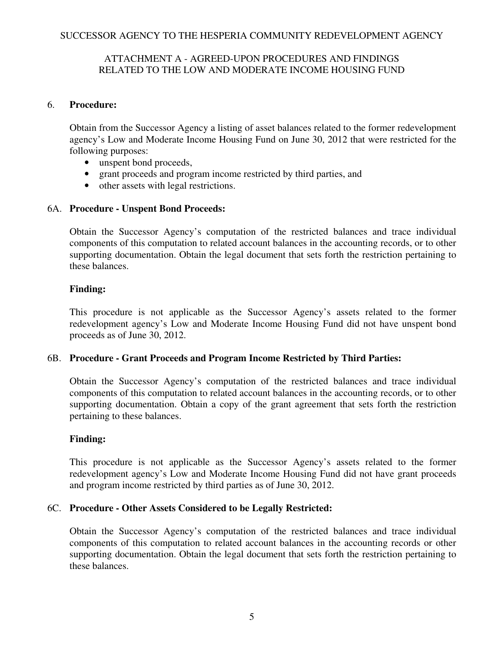# ATTACHMENT A - AGREED-UPON PROCEDURES AND FINDINGS RELATED TO THE LOW AND MODERATE INCOME HOUSING FUND

# 6. **Procedure:**

Obtain from the Successor Agency a listing of asset balances related to the former redevelopment agency's Low and Moderate Income Housing Fund on June 30, 2012 that were restricted for the following purposes:

- unspent bond proceeds,
- grant proceeds and program income restricted by third parties, and
- other assets with legal restrictions.

# 6A. **Procedure - Unspent Bond Proceeds:**

Obtain the Successor Agency's computation of the restricted balances and trace individual components of this computation to related account balances in the accounting records, or to other supporting documentation. Obtain the legal document that sets forth the restriction pertaining to these balances.

# **Finding:**

This procedure is not applicable as the Successor Agency's assets related to the former redevelopment agency's Low and Moderate Income Housing Fund did not have unspent bond proceeds as of June 30, 2012.

# 6B. **Procedure - Grant Proceeds and Program Income Restricted by Third Parties:**

Obtain the Successor Agency's computation of the restricted balances and trace individual components of this computation to related account balances in the accounting records, or to other supporting documentation. Obtain a copy of the grant agreement that sets forth the restriction pertaining to these balances.

# **Finding:**

This procedure is not applicable as the Successor Agency's assets related to the former redevelopment agency's Low and Moderate Income Housing Fund did not have grant proceeds and program income restricted by third parties as of June 30, 2012.

# 6C. **Procedure - Other Assets Considered to be Legally Restricted:**

Obtain the Successor Agency's computation of the restricted balances and trace individual components of this computation to related account balances in the accounting records or other supporting documentation. Obtain the legal document that sets forth the restriction pertaining to these balances.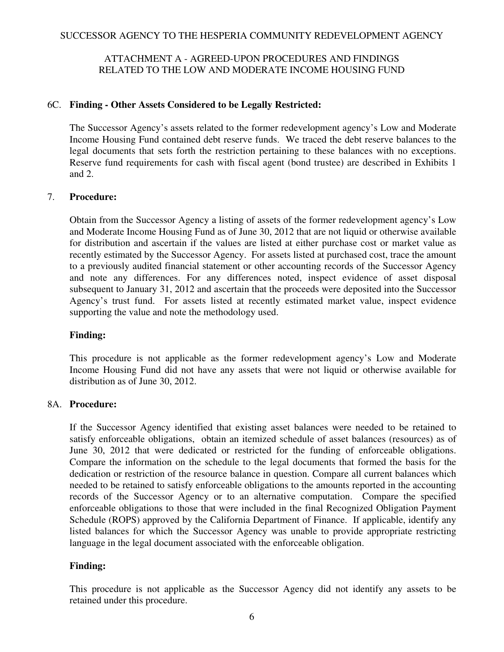# ATTACHMENT A - AGREED-UPON PROCEDURES AND FINDINGS RELATED TO THE LOW AND MODERATE INCOME HOUSING FUND

# 6C. **Finding - Other Assets Considered to be Legally Restricted:**

The Successor Agency's assets related to the former redevelopment agency's Low and Moderate Income Housing Fund contained debt reserve funds. We traced the debt reserve balances to the legal documents that sets forth the restriction pertaining to these balances with no exceptions. Reserve fund requirements for cash with fiscal agent (bond trustee) are described in Exhibits 1 and 2.

# 7. **Procedure:**

Obtain from the Successor Agency a listing of assets of the former redevelopment agency's Low and Moderate Income Housing Fund as of June 30, 2012 that are not liquid or otherwise available for distribution and ascertain if the values are listed at either purchase cost or market value as recently estimated by the Successor Agency. For assets listed at purchased cost, trace the amount to a previously audited financial statement or other accounting records of the Successor Agency and note any differences. For any differences noted, inspect evidence of asset disposal subsequent to January 31, 2012 and ascertain that the proceeds were deposited into the Successor Agency's trust fund. For assets listed at recently estimated market value, inspect evidence supporting the value and note the methodology used.

# **Finding:**

This procedure is not applicable as the former redevelopment agency's Low and Moderate Income Housing Fund did not have any assets that were not liquid or otherwise available for distribution as of June 30, 2012.

## 8A. **Procedure:**

If the Successor Agency identified that existing asset balances were needed to be retained to satisfy enforceable obligations, obtain an itemized schedule of asset balances (resources) as of June 30, 2012 that were dedicated or restricted for the funding of enforceable obligations. Compare the information on the schedule to the legal documents that formed the basis for the dedication or restriction of the resource balance in question. Compare all current balances which needed to be retained to satisfy enforceable obligations to the amounts reported in the accounting records of the Successor Agency or to an alternative computation. Compare the specified enforceable obligations to those that were included in the final Recognized Obligation Payment Schedule (ROPS) approved by the California Department of Finance. If applicable, identify any listed balances for which the Successor Agency was unable to provide appropriate restricting language in the legal document associated with the enforceable obligation.

# **Finding:**

This procedure is not applicable as the Successor Agency did not identify any assets to be retained under this procedure.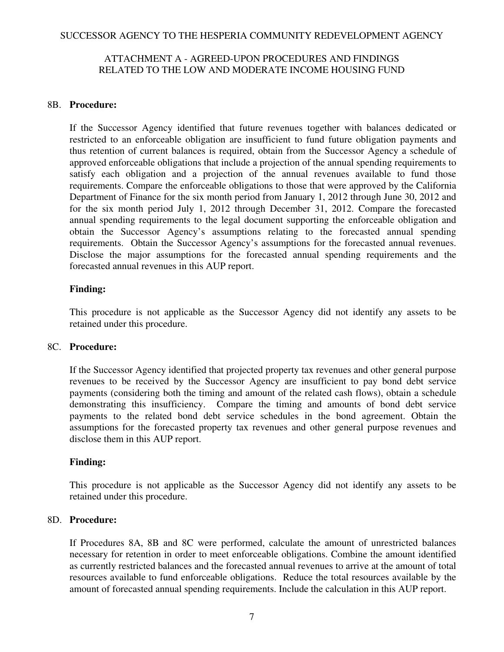# ATTACHMENT A - AGREED-UPON PROCEDURES AND FINDINGS RELATED TO THE LOW AND MODERATE INCOME HOUSING FUND

## 8B. **Procedure:**

If the Successor Agency identified that future revenues together with balances dedicated or restricted to an enforceable obligation are insufficient to fund future obligation payments and thus retention of current balances is required, obtain from the Successor Agency a schedule of approved enforceable obligations that include a projection of the annual spending requirements to satisfy each obligation and a projection of the annual revenues available to fund those requirements. Compare the enforceable obligations to those that were approved by the California Department of Finance for the six month period from January 1, 2012 through June 30, 2012 and for the six month period July 1, 2012 through December 31, 2012. Compare the forecasted annual spending requirements to the legal document supporting the enforceable obligation and obtain the Successor Agency's assumptions relating to the forecasted annual spending requirements. Obtain the Successor Agency's assumptions for the forecasted annual revenues. Disclose the major assumptions for the forecasted annual spending requirements and the forecasted annual revenues in this AUP report.

# **Finding:**

This procedure is not applicable as the Successor Agency did not identify any assets to be retained under this procedure.

## 8C. **Procedure:**

If the Successor Agency identified that projected property tax revenues and other general purpose revenues to be received by the Successor Agency are insufficient to pay bond debt service payments (considering both the timing and amount of the related cash flows), obtain a schedule demonstrating this insufficiency. Compare the timing and amounts of bond debt service payments to the related bond debt service schedules in the bond agreement. Obtain the assumptions for the forecasted property tax revenues and other general purpose revenues and disclose them in this AUP report.

## **Finding:**

This procedure is not applicable as the Successor Agency did not identify any assets to be retained under this procedure.

## 8D. **Procedure:**

If Procedures 8A, 8B and 8C were performed, calculate the amount of unrestricted balances necessary for retention in order to meet enforceable obligations. Combine the amount identified as currently restricted balances and the forecasted annual revenues to arrive at the amount of total resources available to fund enforceable obligations. Reduce the total resources available by the amount of forecasted annual spending requirements. Include the calculation in this AUP report.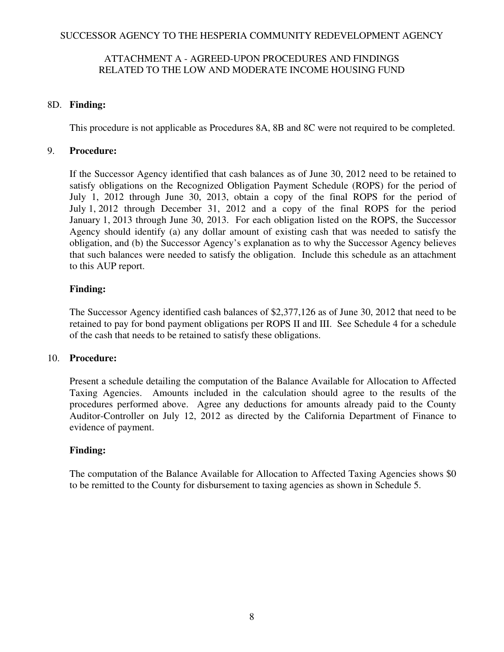# ATTACHMENT A - AGREED-UPON PROCEDURES AND FINDINGS RELATED TO THE LOW AND MODERATE INCOME HOUSING FUND

# 8D. **Finding:**

This procedure is not applicable as Procedures 8A, 8B and 8C were not required to be completed.

# 9. **Procedure:**

If the Successor Agency identified that cash balances as of June 30, 2012 need to be retained to satisfy obligations on the Recognized Obligation Payment Schedule (ROPS) for the period of July 1, 2012 through June 30, 2013, obtain a copy of the final ROPS for the period of July 1, 2012 through December 31, 2012 and a copy of the final ROPS for the period January 1, 2013 through June 30, 2013. For each obligation listed on the ROPS, the Successor Agency should identify (a) any dollar amount of existing cash that was needed to satisfy the obligation, and (b) the Successor Agency's explanation as to why the Successor Agency believes that such balances were needed to satisfy the obligation. Include this schedule as an attachment to this AUP report.

# **Finding:**

The Successor Agency identified cash balances of \$2,377,126 as of June 30, 2012 that need to be retained to pay for bond payment obligations per ROPS II and III. See Schedule 4 for a schedule of the cash that needs to be retained to satisfy these obligations.

## 10. **Procedure:**

Present a schedule detailing the computation of the Balance Available for Allocation to Affected Taxing Agencies. Amounts included in the calculation should agree to the results of the procedures performed above. Agree any deductions for amounts already paid to the County Auditor-Controller on July 12, 2012 as directed by the California Department of Finance to evidence of payment.

# **Finding:**

The computation of the Balance Available for Allocation to Affected Taxing Agencies shows \$0 to be remitted to the County for disbursement to taxing agencies as shown in Schedule 5.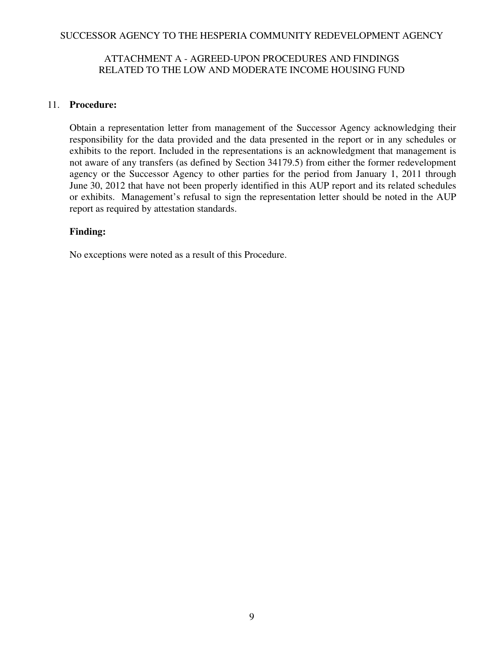# ATTACHMENT A - AGREED-UPON PROCEDURES AND FINDINGS RELATED TO THE LOW AND MODERATE INCOME HOUSING FUND

# 11. **Procedure:**

Obtain a representation letter from management of the Successor Agency acknowledging their responsibility for the data provided and the data presented in the report or in any schedules or exhibits to the report. Included in the representations is an acknowledgment that management is not aware of any transfers (as defined by Section 34179.5) from either the former redevelopment agency or the Successor Agency to other parties for the period from January 1, 2011 through June 30, 2012 that have not been properly identified in this AUP report and its related schedules or exhibits. Management's refusal to sign the representation letter should be noted in the AUP report as required by attestation standards.

# **Finding:**

No exceptions were noted as a result of this Procedure.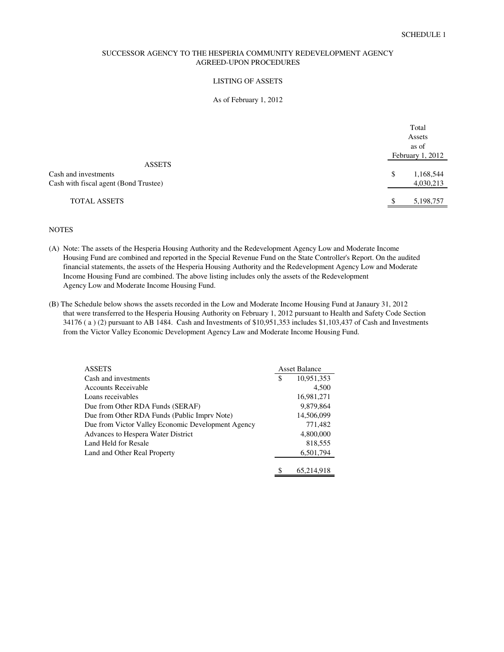#### LISTING OF ASSETS

#### As of February 1, 2012

|                                       | Total            |
|---------------------------------------|------------------|
|                                       | Assets           |
|                                       | as of            |
|                                       | February 1, 2012 |
| <b>ASSETS</b>                         |                  |
| Cash and investments                  | \$<br>1,168,544  |
| Cash with fiscal agent (Bond Trustee) | 4,030,213        |
| <b>TOTAL ASSETS</b>                   | 5,198,757<br>S   |
|                                       |                  |

#### **NOTES**

- (A) Note: The assets of the Hesperia Housing Authority and the Redevelopment Agency Low and Moderate Income Housing Fund are combined and reported in the Special Revenue Fund on the State Controller's Report. On the audited financial statements, the assets of the Hesperia Housing Authority and the Redevelopment Agency Low and Moderate Income Housing Fund are combined. The above listing includes only the assets of the Redevelopment Agency Low and Moderate Income Housing Fund.
- (B) The Schedule below shows the assets recorded in the Low and Moderate Income Housing Fund at Janaury 31, 2012 that were transferred to the Hesperia Housing Authority on February 1, 2012 pursuant to Health and Safety Code Section 34176 ( a ) (2) pursuant to AB 1484. Cash and Investments of \$10,951,353 includes \$1,103,437 of Cash and Investments from the Victor Valley Economic Development Agency Law and Moderate Income Housing Fund.

| <b>ASSETS</b>                                      | <b>Asset Balance</b> |            |
|----------------------------------------------------|----------------------|------------|
| Cash and investments                               | S                    | 10,951,353 |
| <b>Accounts Receivable</b>                         |                      | 4.500      |
| Loans receivables                                  |                      | 16,981,271 |
| Due from Other RDA Funds (SERAF)                   |                      | 9.879.864  |
| Due from Other RDA Funds (Public Impry Note)       |                      | 14,506,099 |
| Due from Victor Valley Economic Development Agency |                      | 771,482    |
| Advances to Hespera Water District                 |                      | 4,800,000  |
| Land Held for Resale                               |                      | 818,555    |
| Land and Other Real Property                       |                      | 6,501,794  |
|                                                    |                      |            |
|                                                    |                      | 65,214,918 |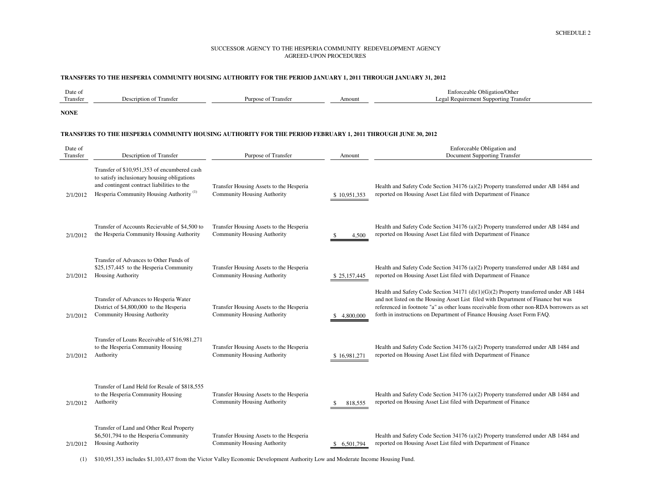#### **TRANSFERS TO THE HESPERIA COMMUNITY HOUSING AUTHORITY FOR THE PERIOD JANUARY 1, 2011 THROUGH JANUARY 31, 2012**

| Date of  |                            |                              |        | $\sim$<br>Enforceable Obligation/Other            |
|----------|----------------------------|------------------------------|--------|---------------------------------------------------|
| Transfer | Description of<br>Fransfer | <b>Transfer</b><br>urpose of | Amount | 1 Requirement Supporting 7<br>. Transfer<br>Legal |
|          |                            |                              |        |                                                   |

**NONE**

#### **TRANSFERS TO THE HESPERIA COMMUNITY HOUSING AUTHORITY FOR THE PERIOD FEBRUARY 1, 2011 THROUGH JUNE 30, 2012**

| Date of<br>Transfer | Description of Transfer                                                                                                                                                                         | Purpose of Transfer                                                           | Amount       | Enforceable Obligation and<br>Document Supporting Transfer                                                                                                                                                                                                                                                                                      |
|---------------------|-------------------------------------------------------------------------------------------------------------------------------------------------------------------------------------------------|-------------------------------------------------------------------------------|--------------|-------------------------------------------------------------------------------------------------------------------------------------------------------------------------------------------------------------------------------------------------------------------------------------------------------------------------------------------------|
| 2/1/2012            | Transfer of \$10,951,353 of encumbered cash<br>to satisfy inclusionary housing obligations<br>and contingent contract liabilities to the<br>Hesperia Community Housing Authority <sup>(1)</sup> | Transfer Housing Assets to the Hesperia<br><b>Community Housing Authority</b> | \$10,951,353 | Health and Safety Code Section 34176 (a)(2) Property transferred under AB 1484 and<br>reported on Housing Asset List filed with Department of Finance                                                                                                                                                                                           |
| 2/1/2012            | Transfer of Accounts Recievable of \$4,500 to<br>the Hesperia Community Housing Authority                                                                                                       | Transfer Housing Assets to the Hesperia<br><b>Community Housing Authority</b> | 4,500        | Health and Safety Code Section 34176 (a)(2) Property transferred under AB 1484 and<br>reported on Housing Asset List filed with Department of Finance                                                                                                                                                                                           |
| 2/1/2012            | Transfer of Advances to Other Funds of<br>\$25,157,445 to the Hesperia Community<br><b>Housing Authority</b>                                                                                    | Transfer Housing Assets to the Hesperia<br><b>Community Housing Authority</b> | \$25,157,445 | Health and Safety Code Section 34176 (a)(2) Property transferred under AB 1484 and<br>reported on Housing Asset List filed with Department of Finance                                                                                                                                                                                           |
| 2/1/2012            | Transfer of Advances to Hesperia Water<br>District of \$4,800,000 to the Hesperia<br><b>Community Housing Authority</b>                                                                         | Transfer Housing Assets to the Hesperia<br><b>Community Housing Authority</b> | 4,800,000    | Health and Safety Code Section 34171 (d)(1)(G)(2) Property transferred under AB 1484<br>and not listed on the Housing Asset List filed with Department of Finance but was<br>referenced in footnote "a" as other loans receivable from other non-RDA borrowers as set<br>forth in instructions on Department of Finance Housing Asset Form FAQ. |
| 2/1/2012            | Transfer of Loans Receivable of \$16,981,271<br>to the Hesperia Community Housing<br>Authority                                                                                                  | Transfer Housing Assets to the Hesperia<br>Community Housing Authority        | \$16,981,271 | Health and Safety Code Section 34176 (a)(2) Property transferred under AB 1484 and<br>reported on Housing Asset List filed with Department of Finance                                                                                                                                                                                           |
| 2/1/2012            | Transfer of Land Held for Resale of \$818,555<br>to the Hesperia Community Housing<br>Authority                                                                                                 | Transfer Housing Assets to the Hesperia<br><b>Community Housing Authority</b> | 818,555<br>S | Health and Safety Code Section 34176 (a)(2) Property transferred under AB 1484 and<br>reported on Housing Asset List filed with Department of Finance                                                                                                                                                                                           |
| 2/1/2012            | Transfer of Land and Other Real Property<br>\$6,501,794 to the Hesperia Community<br><b>Housing Authority</b>                                                                                   | Transfer Housing Assets to the Hesperia<br><b>Community Housing Authority</b> | \$ 6,501,794 | Health and Safety Code Section 34176 (a)(2) Property transferred under AB 1484 and<br>reported on Housing Asset List filed with Department of Finance                                                                                                                                                                                           |

(1) \$10,951,353 includes \$1,103,437 from the Victor Valley Economic Development Authority Low and Moderate Income Housing Fund.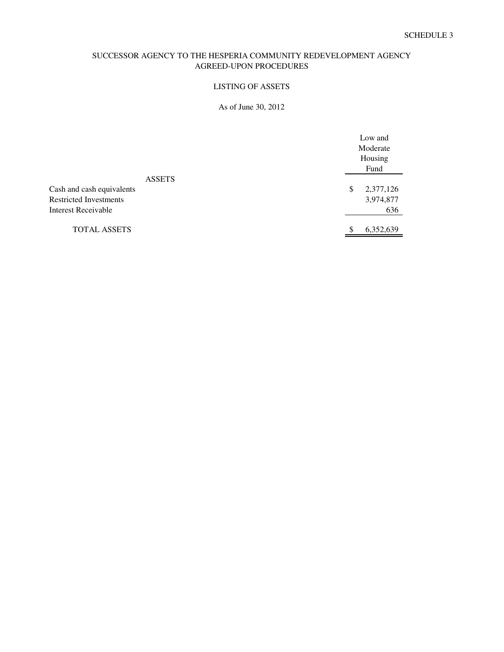#### LISTING OF ASSETS

#### As of June 30, 2012

|                                                                                                    | Low and<br>Moderate<br>Housing<br>Fund |
|----------------------------------------------------------------------------------------------------|----------------------------------------|
| <b>ASSETS</b><br>Cash and cash equivalents<br><b>Restricted Investments</b><br>Interest Receivable | \$<br>2,377,126<br>3,974,877<br>636    |
| <b>TOTAL ASSETS</b>                                                                                | 6,352,639                              |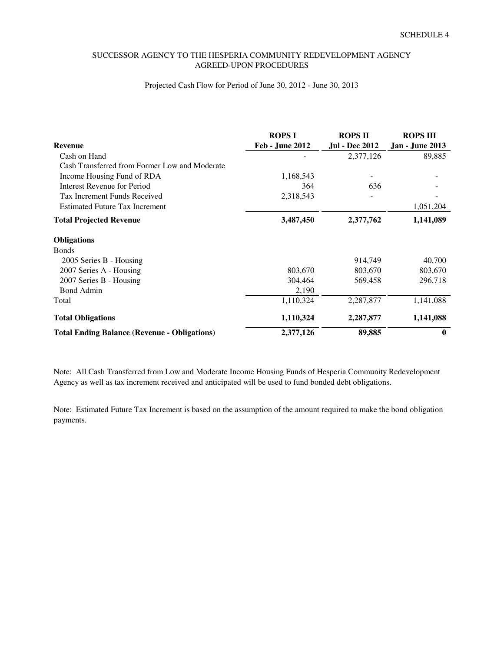#### Projected Cash Flow for Period of June 30, 2012 - June 30, 2013

|                                                     | <b>ROPS I</b>          | <b>ROPS II</b>        | <b>ROPS III</b>        |
|-----------------------------------------------------|------------------------|-----------------------|------------------------|
| <b>Revenue</b>                                      | <b>Feb - June 2012</b> | <b>Jul - Dec 2012</b> | <b>Jan - June 2013</b> |
| Cash on Hand                                        |                        | 2,377,126             | 89,885                 |
| Cash Transferred from Former Low and Moderate       |                        |                       |                        |
| Income Housing Fund of RDA                          | 1,168,543              |                       |                        |
| Interest Revenue for Period                         | 364                    | 636                   |                        |
| <b>Tax Increment Funds Received</b>                 | 2,318,543              |                       |                        |
| <b>Estimated Future Tax Increment</b>               |                        |                       | 1,051,204              |
| <b>Total Projected Revenue</b>                      | 3,487,450              | 2,377,762             | 1,141,089              |
| <b>Obligations</b>                                  |                        |                       |                        |
| <b>Bonds</b>                                        |                        |                       |                        |
| 2005 Series B - Housing                             |                        | 914,749               | 40,700                 |
| 2007 Series A - Housing                             | 803,670                | 803,670               | 803,670                |
| 2007 Series B - Housing                             | 304,464                | 569,458               | 296,718                |
| <b>Bond Admin</b>                                   | 2,190                  |                       |                        |
| Total                                               | 1,110,324              | 2,287,877             | 1,141,088              |
| <b>Total Obligations</b>                            | 1,110,324              | 2,287,877             | 1,141,088              |
| <b>Total Ending Balance (Revenue - Obligations)</b> | 2,377,126              | 89,885                | $\bf{0}$               |

Note: All Cash Transferred from Low and Moderate Income Housing Funds of Hesperia Community Redevelopment Agency as well as tax increment received and anticipated will be used to fund bonded debt obligations.

Note: Estimated Future Tax Increment is based on the assumption of the amount required to make the bond obligation payments.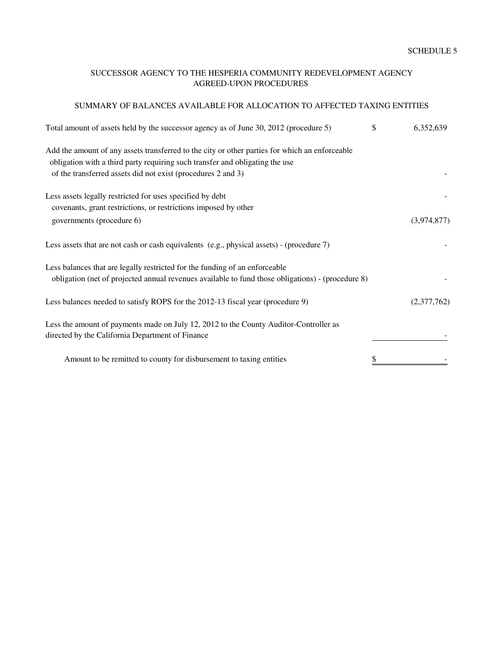#### SUMMARY OF BALANCES AVAILABLE FOR ALLOCATION TO AFFECTED TAXING ENTITIES

| Total amount of assets held by the successor agency as of June 30, 2012 (procedure 5)                                                                                                                                                          | \$<br>6,352,639 |
|------------------------------------------------------------------------------------------------------------------------------------------------------------------------------------------------------------------------------------------------|-----------------|
| Add the amount of any assets transferred to the city or other parties for which an enforceable<br>obligation with a third party requiring such transfer and obligating the use<br>of the transferred assets did not exist (procedures 2 and 3) |                 |
|                                                                                                                                                                                                                                                |                 |
| Less assets legally restricted for uses specified by debt                                                                                                                                                                                      |                 |
| covenants, grant restrictions, or restrictions imposed by other                                                                                                                                                                                |                 |
| governments (procedure 6)                                                                                                                                                                                                                      | (3,974,877)     |
| Less assets that are not cash or cash equivalents (e.g., physical assets) - (procedure 7)                                                                                                                                                      |                 |
| Less balances that are legally restricted for the funding of an enforceable                                                                                                                                                                    |                 |
| obligation (net of projected annual revenues available to fund those obligations) - (procedure 8)                                                                                                                                              |                 |
| Less balances needed to satisfy ROPS for the 2012-13 fiscal year (procedure 9)                                                                                                                                                                 | (2,377,762)     |
| Less the amount of payments made on July 12, 2012 to the County Auditor-Controller as                                                                                                                                                          |                 |
| directed by the California Department of Finance                                                                                                                                                                                               |                 |
| Amount to be remitted to county for disbursement to taxing entities                                                                                                                                                                            |                 |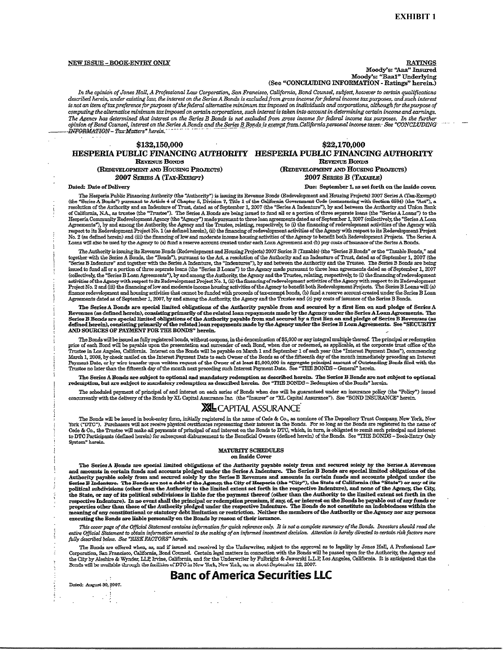#### NEW ISSUE - BOOK-ENTRY ONLY

**RATINGS** Moody's: "Aaa" Insured Moody's: "Baa1" Underlying (See "CONCLUDING INFORMATION - Ratings" herein.)

In the opinion of Jones Hall, A Professional Law Corporation, San Francisco, California, Bond Counsel, subject, however to certain qualifications described herein, under existing law, the interest on the Series A Bonds is excluded from gross income for federal income tax purposes, and such interest<br>is not an item of tax preference for purposes of the federal alterna computing the alternative minimum tax imposed on certain corporations, such interest is taken into account in determining certain income and earnings. The Agency has determined that interest on the Series B Bonds is not excluded from gross income for federal income tax purposes. In the further<br>opinion of Bond Counsel, interest on the Series B Bonds is not excluded from g INFORMATION – Tax Matters" herein.

#### \$132,150,000

#### \$22,170,000 HESPERIA PUBLIC FINANCING AUTHORITY HESPERIA PUBLIC FINANCING AUTHORITY REVENUE BONDS

**REVENUE BONDS** (REDEVELOPMENT AND HOUSING PROJECTS) 2007 SERIES A (TAX-EXEMPT)

(REDEVELOPMENT AND HOUSING PROJECTS) 2007 SERIES B (TAXABLE)

#### Dated: Date of Delivery

Due: September 1, as set forth on the inside cover.

The Hesperia Public Financing Authority (the "Authority") is issuing its Revenue Bonds (Redevelopment and Housing Projects) 2007 Series A (Tax-Exempt) (the "Series A Bonds") pursuant to Article 4 of Chapter 5, Division 7, Title 1 of the California Government Code (commencing with Section 6584) (the "Act"), a resolution of the Authority and an Indenture of Trust, dated as of California, N.A., as trustee (the "Trustee"). The Series A Bonds are being issued to fund all or a portion of three separate loans (the "Series A Loans") to the Hesperia Community Redevelopment Agency (the "Agency") made pursuant to three loan agreements dated as of September 1, 2007 (collectively, the "Series A Loan Agreements"), by and among the Authority, the Agency and the Trustee, relating, respectively, to (i) the financing of redevelopment activities of the Agency with respect to its Redevelopment Project No. 1 (as defined herei No. 2 (as defined herein) and (iii) the financing of low and moderate income housing activities of the Agency to benefit both Redevelopment Projects. The Series A Loans will also be used by the Agency to (a) fund a reserve

The Authority is issuing its Revenue Bonds (Redevelopment and Housing Projects) 2007 Series B (Taxable) (the "Series B Bonds" or the "Taxable Bonds," and together with the Series A Bonds, the "Bonds"), pursuant to the Act, a resolution of the Authority and an Indenture of Trust, dated as of September 1, 2007 (the "Series A Bonds are being<br>"Series B Indenture" and together w issued to fund all or a portion of three separate loans (the "Series B Loans") to the Agency made pursuant to three loan agreements dated as of September 1, 2007 (collectively, the "Series B Loan Agreements"), by and among the Authority, the Agency and the Trustee, relating, respectively, to (i) the financing of redevelopment activities of the Agency with respect to its Redevelopme Project No. 2 and (iii) the financing of low and moderate income housing activities of the Agency to benefit both Redevelopment Projects. The Series B Loans will (a) finance redevelopment and housing activities that cannot be funded with proceeds of tax-exempt bonds, (b) fund a reserve account created under the Series B Loan Agreements dated as of September 1, 2007, by and among the A

The Series A Bonds are special limited obligations of the Authority payable from and secured by a first lien on and pledge of Series A Revenues (as defined herein), consisting primarily of the related loan repayments made by the Agency under the Series A Loan Agreements. The Series B Bonds are special limited obligations of the Authority payable from and secured by a first lien on and pledge of Series B Revenues (as defined herein), consisting primarily of the related loan repayments made by t AND SOURCES OF PAYMENT FOR THE BONDS" herein.

The Bonds will be issued as fully registered bonds, without coupons, in the denomination of \$5,000 or any integral multiple thereof. The principal or redemption price of each Bond will be payable upon the presentation and March 1, 2008, by check mailed on the Interest Payment Date to each Owner of the Bonds as of the fifteenth day of the month immediately preceding an Interest maturity sources makes on an enterpretation request of the Owner of at least \$1,000,000 in aggregate principal amount of Outstanding Bonds filed with the Payment Date, or by wire transfer upon written request of the Owner

The Series A Bonds are subject to optional and mandatory redemption as described herein. The Series B Bonds are not subject to optional redemption, but are subject to mandatory redemption as described herein. See "THE BOND

The scheduled payment of principal of and interest on each series of Bonds when due will be guaranteed under an insurance policy (the "Policy") issued concurrently with the delivery of the Bonds by XL Capital Assurance Inc

#### **XL** CAPITAL ASSURANCE

The Bonds will be issued in book-entry form, initially registered in the name of Cede & Co., as nominee of The Depository Trust Company, New York, New Tork ("DTC"). Purchasers will not receive physical certificates represe Cede & Co., the Trustee will make all payments of principal of and interest on the Bonds to DTC, which, in turn, is obligated to remit such principal and interest to DTC Participants (defined herein) for subsequent disbursement to the Beneficial Owners (defined herein) of the Bonds. See "THE BONDS - Book-Entry Only Sectom" herein

#### **MATURITY SCHEDULES** on Inside Cover

The Series A Ronds are special limited obligations of the Authority payable solely from and secured solely by the Series A Revenues and amounts in certain funds and accounts pledged under the Series A Indenture. The Series B Bonds are special limited obligations of the and amounts in certain funds and accounts people under the Series B Revemes and amounts in certain funds and accounts pedged under the<br>Authority payable solely from and secured solely by the Series B Revemes and amounts in properties other than those of the Authority pledged under the respective Indenture. The Bonds do not constitute an indebtedness within the meaning of any constitutional or statutory debt limitation or restriction. Neither the members of the Authority or the Agency nor any persons executing the Bonds are liable personally on the Bonds by reason of their issuance.

This cover page of the Official Statement contains information for quick reference only. It is not a complete summary of the Bonds. Investors should read the entire Official Statement to obtain information essential to the making of an informed investment decision. Attention is hereby directed to certain risk factors more fully described below. See "RISK FACTORS" herein.

The Bonds are offered when, as, and if issued and received by the Underwriter, subject to the approval as to legality by Jones Hall, A Professional Law Corporation, San Francisco, California, Bond Counsel. Certain legal ma

# **Banc of America Securities LLC**

Dated: August 30, 2007.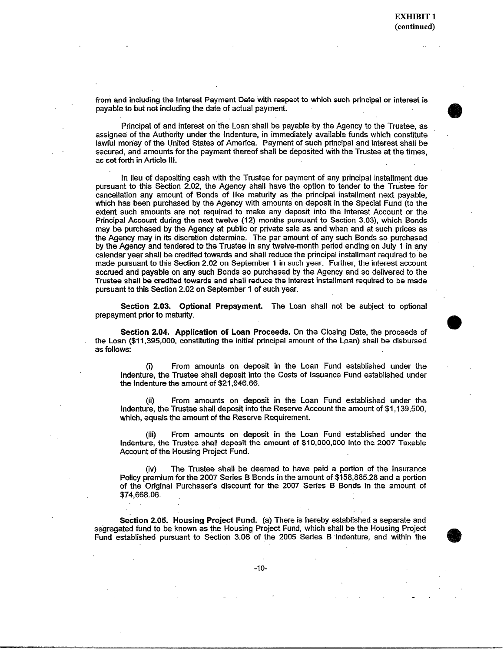from and including the Interest Payment Date with respect to which such principal or interest is payable to but not including the date of actual payment.

Principal of and interest on the Loan shall be payable by the Agency to the Trustee, as assignee of the Authority under the Indenture, in immediately available funds which constitute lawful money of the United States of America. Payment of such principal and interest shall be secured, and amounts for the payment thereof shall be deposited with the Trustee at the times. as set forth in Article III.

In lieu of depositing cash with the Trustee for payment of any principal installment due pursuant to this Section 2.02, the Agency shall have the option to tender to the Trustee for cancellation any amount of Bonds of like maturity as the principal installment next payable, which has been purchased by the Agency with amounts on deposit in the Special Fund (to the extent such amounts are not required to make any deposit into the Interest Account or the Principal Account during the next twelve (12) months pursuant to Section 3.03), which Bonds may be purchased by the Agency at public or private sale as and when and at such prices as the Agency may in its discretion determine. The par amount of any such Bonds so purchased by the Agency and tendered to the Trustee in any twelve-month period ending on July 1 in any calendar year shall be credited towards and shall reduce the principal installment required to be made pursuant to this Section 2.02 on September 1 in such year. Further, the interest account accrued and payable on any such Bonds so purchased by the Agency and so delivered to the Trustee shall be credited towards and shall reduce the interest installment required to be made pursuant to this Section 2.02 on September 1 of such year.

Section 2.03. Optional Prepayment. The Loan shall not be subject to optional prepayment prior to maturity.

Section 2.04. Application of Loan Proceeds. On the Closing Date, the proceeds of the Loan (\$11,395,000, constituting the initial principal amount of the Loan) shall be disbursed as follows:

From amounts on deposit in the Loan Fund established under the  $(i)$ Indenture, the Trustee shall deposit into the Costs of Issuance Fund established under the Indenture the amount of \$21,946.66.

From amounts on deposit in the Loan Fund established under the Indenture, the Trustee shall deposit into the Reserve Account the amount of \$1,139,500, which, equals the amount of the Reserve Requirement.

From amounts on deposit in the Loan Fund established under the Indenture, the Trustee shall deposit the amount of \$10,000,000 into the 2007 Taxable Account of the Housing Project Fund.

The Trustee shall be deemed to have paid a portion of the Insurance Policy premium for the 2007 Series B Bonds in the amount of \$158,885.28 and a portion of the Original Purchaser's discount for the 2007 Series B Bonds in the amount of \$74,668.06.

Section 2.05. Housing Project Fund. (a) There is hereby established a separate and segregated fund to be known as the Housing Project Fund, which shall be the Housing Project Fund established pursuant to Section 3.06 of the 2005 Series B Indenture, and within the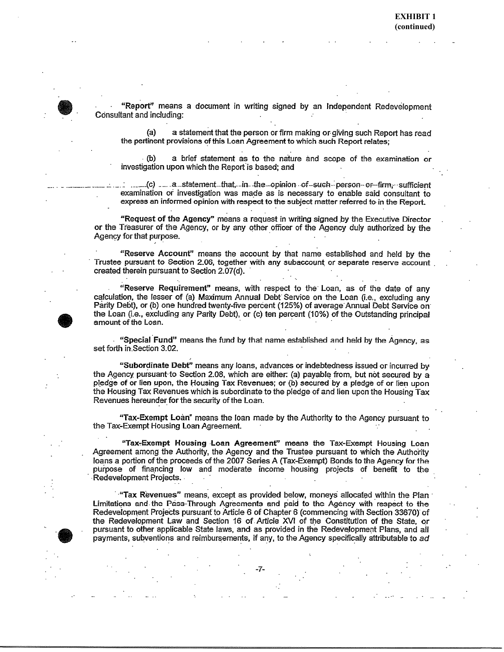"Report" means a document in writing signed by an Independent Redevelopment Consultant and including:

a statement that the person or firm making or giving such Report has read  $(a)$ the pertinent provisions of this Loan Agreement to which such Report relates;

a brief statement as to the nature and scope of the examination or investigation upon which the Report is based; and

\_(с) \_\_ .a \_statement\_that, \_in -the \_opinion of -such - person or -firm. sufficient examination or investigation was made as is necessary to enable said consultant to express an informed opinion with respect to the subject matter referred to in the Report.

"Request of the Agency" means a request in writing signed by the Executive Director or the Treasurer of the Agency, or by any other officer of the Agency duly authorized by the Agency for that purpose.

"Reserve Account" means the account by that name established and held by the Trustee pursuant to Section 2.06, together with any subaccount or separate reserve account created therein pursuant to Section 2.07(d).

"Reserve Requirement" means, with respect to the Loan, as of the date of any calculation, the lesser of (a) Maximum Annual Debt Service on the Loan (i.e., excluding any Parity Debt), or (b) one hundred twenty-five percent (125%) of average Annual Debt Service on the Loan (i.e., excluding any Parity Debt), or (c) ten percent (10%) of the Outstanding principal amount of the Loan.

"Special Fund" means the fund by that name established and held by the Agency, as set forth in Section 3.02.

"Subordinate Debt" means any loans, advances or indebtedness issued or incurred by the Agency pursuant to Section 2.08, which are either: (a) payable from, but not secured by a pledge of or lien upon, the Housing Tax Revenues; or (b) secured by a pledge of or lien upon the Housing Tax Revenues which is subordinate to the pledge of and lien upon the Housing Tax Revenues hereunder for the security of the Loan.

"Tax-Exempt Loan" means the loan made by the Authority to the Agency pursuant to the Tax-Exempt Housing Loan Agreement.

"Tax-Exempt Housing Loan Agreement" means the Tax-Exempt Housing Loan Agreement among the Authority, the Agency and the Trustee pursuant to which the Authority loans a portion of the proceeds of the 2007 Series A (Tax-Exempt) Bonds to the Agency for the purpose of financing low and moderate income housing projects of benefit to the Redevelopment Projects.

"Tax Revenues" means, except as provided below, moneys allocated within the Plan Limitations and the Pass-Through Agreements and paid to the Agency with respect to the Redevelopment Projects pursuant to Article 6 of Chapter 6 (commencing with Section 33670) of the Redevelopment Law and Section 16 of Article XVI of the Constitution of the State, or pursuant to other applicable State laws, and as provided in the Redevelopment Plans, and all payments, subventions and reimbursements, if any, to the Agency specifically attributable to ad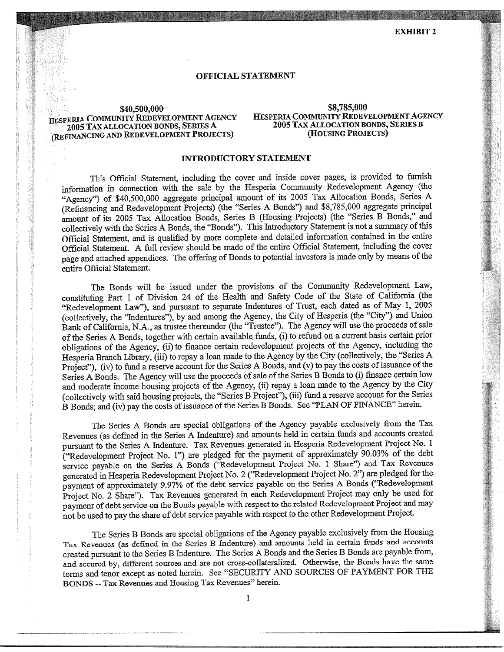#### **OFFICIAL STATEMENT**

#### \$40,500,000 HESPERIA COMMUNITY REDEVELOPMENT AGENCY 2005 TAX ALLOCATION BONDS, SERIES A (REFINANCING AND REDEVELOPMENT PROJECTS)

#### \$8,785,000 HESPERIA COMMUNITY REDEVELOPMENT AGENCY 2005 TAX ALLOCATION BONDS, SERIES B (HOUSING PROJECTS)

#### **INTRODUCTORY STATEMENT**

This Official Statement, including the cover and inside cover pages, is provided to furnish information in connection with the sale by the Hesperia Community Redevelopment Agency (the "Agency") of \$40,500,000 aggregate principal amount of its 2005 Tax Allocation Bonds, Series A (Refinancing and Redevelopment Projects) (the "Series A Bonds") and \$8,785,000 aggregate principal amount of its 2005 Tax Allocation Bonds, Series B (Housing Projects) (the "Series B Bonds," and collectively with the Series A Bonds, the "Bonds"). This Introductory Statement is not a summary of this Official Statement, and is qualified by more complete and detailed information contained in the entire Official Statement. A full review should be made of the entire Official Statement, including the cover page and attached appendices. The offering of Bonds to potential investors is made only by means of the entire Official Statement.

The Bonds will be issued under the provisions of the Community Redevelopment Law, constituting Part 1 of Division 24 of the Health and Safety Code of the State of California (the "Redevelopment Law"), and pursuant to separate Indentures of Trust, each dated as of May 1, 2005 (collectively, the "Indentures"), by and among the Agency, the City of Hesperia (the "City") and Union Bank of California, N.A., as trustee thereunder (the "Trustee"). The Agency will use the proceeds of sale of the Series A Bonds, together with certain available funds, (i) to refund on a current basis certain prior obligations of the Agency, (ii) to finance certain redevelopment projects of the Agency, including the Hesperia Branch Library, (iii) to repay a loan made to the Agency by the City (collectively, the "Series A Project"), (iv) to fund a reserve account for the Series A Bonds, and (v) to pay the costs of issuance of the Series A Bonds. The Agency will use the proceeds of sale of the Series B Bonds to (i) finance certain low and moderate income housing projects of the Agency, (ii) repay a loan made to the Agency by the City (collectively with said housing projects, the "Series B Project"), (iii) fund a reserve account for the Series B Bonds; and (iv) pay the costs of issuance of the Series B Bonds. See "PLAN OF FINANCE" herein.

The Series A Bonds are special obligations of the Agency payable exclusively from the Tax Revenues (as defined in the Series A Indenture) and amounts held in certain funds and accounts created pursuant to the Series A Indenture. Tax Revenues generated in Hesperia Redevelopment Project No. 1 ("Redevelopment Project No. 1") are pledged for the payment of approximately 90.03% of the debt service payable on the Series A Bonds ("Redevelopment Project No. 1 Share") and Tax Revenues generated in Hesperia Redevelopment Project No. 2 ("Redevelopment Project No. 2") are pledged for the payment of approximately 9.97% of the debt service payable on the Series A Bonds ("Redevelopment Project No. 2 Share"). Tax Revenues generated in each Redevelopment Project may only be used for payment of debt service on the Bonds payable with respect to the related Redevelopment Project and may not be used to pay the share of debt service payable with respect to the other Redevelopment Project.

The Series B Bonds are special obligations of the Agency payable exclusively from the Housing Tax Revenues (as defined in the Series B Indenture) and amounts held in certain funds and accounts created pursuant to the Series B Indenture. The Series A Bonds and the Series B Bonds are payable from, and secured by, different sources and are not cross-collateralized. Otherwise, the Bonds have the same terms and tenor except as noted herein. See "SECURITY AND SOURCES OF PAYMENT FOR THE BONDS - Tax Revenues and Housing Tax Revenues" herein.